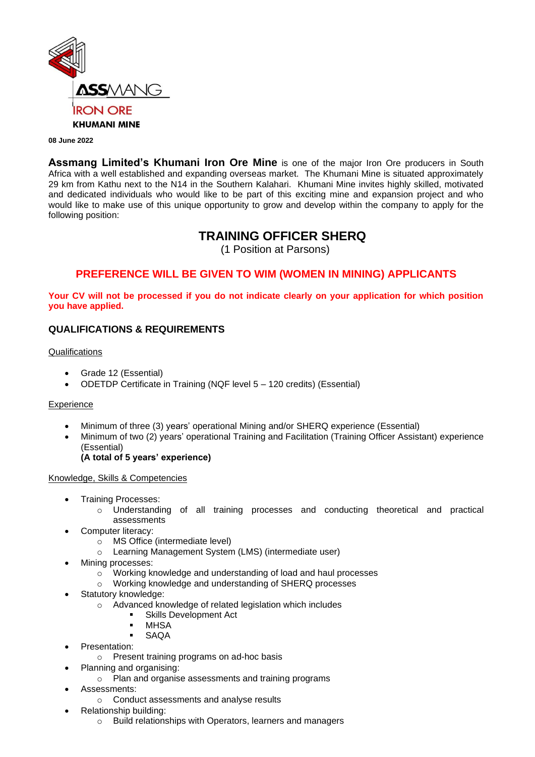

#### **08 June 2022**

**Assmang Limited's Khumani Iron Ore Mine** is one of the major Iron Ore producers in South Africa with a well established and expanding overseas market. The Khumani Mine is situated approximately 29 km from Kathu next to the N14 in the Southern Kalahari. Khumani Mine invites highly skilled, motivated and dedicated individuals who would like to be part of this exciting mine and expansion project and who would like to make use of this unique opportunity to grow and develop within the company to apply for the following position:

# **TRAINING OFFICER SHERQ**

(1 Position at Parsons)

# **PREFERENCE WILL BE GIVEN TO WIM (WOMEN IN MINING) APPLICANTS**

**Your CV will not be processed if you do not indicate clearly on your application for which position you have applied.**

### **QUALIFICATIONS & REQUIREMENTS**

#### **Qualifications**

- Grade 12 (Essential)
- ODETDP Certificate in Training (NQF level 5 120 credits) (Essential)

### **Experience**

- Minimum of three (3) years' operational Mining and/or SHERQ experience (Essential)
- Minimum of two (2) years' operational Training and Facilitation (Training Officer Assistant) experience (Essential)

# **(A total of 5 years' experience)**

### Knowledge, Skills & Competencies

- Training Processes:
	- o Understanding of all training processes and conducting theoretical and practical assessments
- Computer literacy:
	- o MS Office (intermediate level)
	- o Learning Management System (LMS) (intermediate user)
- Mining processes:
	- o Working knowledge and understanding of load and haul processes
	- o Working knowledge and understanding of SHERQ processes
- Statutory knowledge:
	- o Advanced knowledge of related legislation which includes
		- Skills Development Act
		- MHSA
		- **SAQA**
- Presentation:
	- o Present training programs on ad-hoc basis
- Planning and organising:
	- o Plan and organise assessments and training programs
- Assessments:
	- o Conduct assessments and analyse results
- Relationship building:
	- o Build relationships with Operators, learners and managers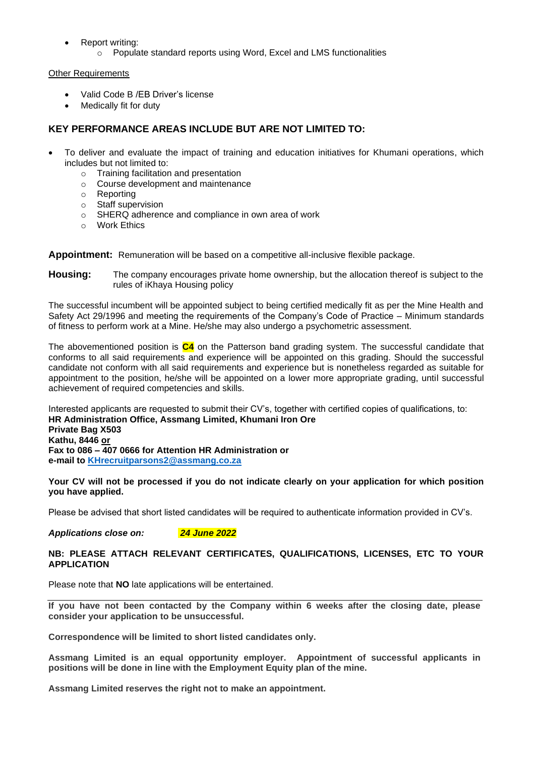- Report writing:
	- o Populate standard reports using Word, Excel and LMS functionalities

Other Requirements

- Valid Code B /EB Driver's license
- Medically fit for duty

### **KEY PERFORMANCE AREAS INCLUDE BUT ARE NOT LIMITED TO:**

- To deliver and evaluate the impact of training and education initiatives for Khumani operations, which includes but not limited to:
	- o Training facilitation and presentation
	- o Course development and maintenance
	- o Reporting
	- o Staff supervision
	- o SHERQ adherence and compliance in own area of work
	- o Work Ethics

**Appointment:** Remuneration will be based on a competitive all-inclusive flexible package.

**Housing:** The company encourages private home ownership, but the allocation thereof is subject to the rules of iKhaya Housing policy

The successful incumbent will be appointed subject to being certified medically fit as per the Mine Health and Safety Act 29/1996 and meeting the requirements of the Company's Code of Practice – Minimum standards of fitness to perform work at a Mine. He/she may also undergo a psychometric assessment.

The abovementioned position is **C4** on the Patterson band grading system. The successful candidate that conforms to all said requirements and experience will be appointed on this grading. Should the successful candidate not conform with all said requirements and experience but is nonetheless regarded as suitable for appointment to the position, he/she will be appointed on a lower more appropriate grading, until successful achievement of required competencies and skills.

Interested applicants are requested to submit their CV's, together with certified copies of qualifications, to: **HR Administration Office, Assmang Limited, Khumani Iron Ore Private Bag X503 Kathu, 8446 or Fax to 086 – 407 0666 for Attention HR Administration or e-mail to [KHrecruitparsons2@assmang.co.za](mailto:applications@assmang.co.za)**

**Your CV will not be processed if you do not indicate clearly on your application for which position you have applied.**

Please be advised that short listed candidates will be required to authenticate information provided in CV's.

*Applications close on: 24 June 2022*

### **NB: PLEASE ATTACH RELEVANT CERTIFICATES, QUALIFICATIONS, LICENSES, ETC TO YOUR APPLICATION**

Please note that **NO** late applications will be entertained.

**If you have not been contacted by the Company within 6 weeks after the closing date, please consider your application to be unsuccessful.**

**Correspondence will be limited to short listed candidates only.**

**Assmang Limited is an equal opportunity employer. Appointment of successful applicants in positions will be done in line with the Employment Equity plan of the mine.**

**Assmang Limited reserves the right not to make an appointment.**